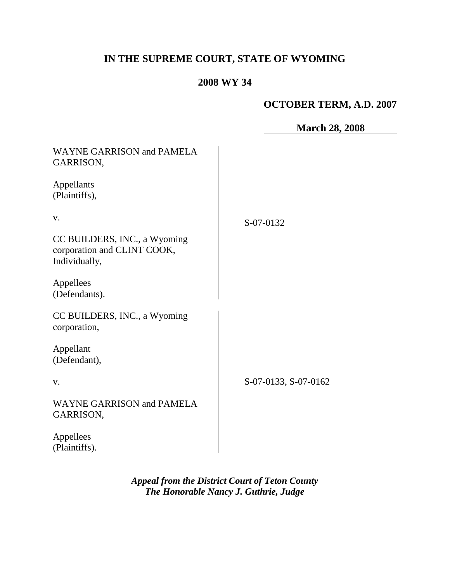# **IN THE SUPREME COURT, STATE OF WYOMING**

# **2008 WY 34**

## **OCTOBER TERM, A.D. 2007**

|                                                                              | <b>March 28, 2008</b> |
|------------------------------------------------------------------------------|-----------------------|
| <b>WAYNE GARRISON and PAMELA</b><br>GARRISON,                                |                       |
| Appellants<br>(Plaintiffs),                                                  |                       |
| V.                                                                           | S-07-0132             |
| CC BUILDERS, INC., a Wyoming<br>corporation and CLINT COOK,<br>Individually, |                       |
| Appellees<br>(Defendants).                                                   |                       |
| CC BUILDERS, INC., a Wyoming<br>corporation,                                 |                       |
| Appellant<br>(Defendant),                                                    |                       |
| V.                                                                           | S-07-0133, S-07-0162  |
| <b>WAYNE GARRISON and PAMELA</b><br>GARRISON,                                |                       |
| Appellees<br>(Plaintiffs).                                                   |                       |

*Appeal from the District Court of Teton County The Honorable Nancy J. Guthrie, Judge*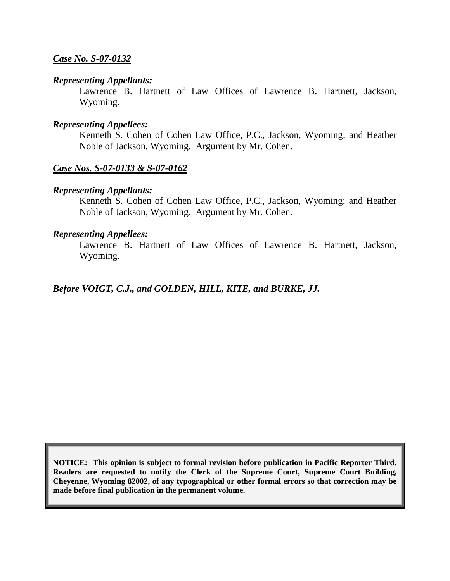## *Case No. S-07-0132*

#### *Representing Appellants:*

Lawrence B. Hartnett of Law Offices of Lawrence B. Hartnett, Jackson, Wyoming.

#### *Representing Appellees:*

Kenneth S. Cohen of Cohen Law Office, P.C., Jackson, Wyoming; and Heather Noble of Jackson, Wyoming. Argument by Mr. Cohen.

## *Case Nos. S-07-0133 & S-07-0162*

#### *Representing Appellants:*

Kenneth S. Cohen of Cohen Law Office, P.C., Jackson, Wyoming; and Heather Noble of Jackson, Wyoming. Argument by Mr. Cohen.

#### *Representing Appellees:*

Lawrence B. Hartnett of Law Offices of Lawrence B. Hartnett, Jackson, Wyoming.

## *Before VOIGT, C.J., and GOLDEN, HILL, KITE, and BURKE, JJ.*

**NOTICE: This opinion is subject to formal revision before publication in Pacific Reporter Third. Readers are requested to notify the Clerk of the Supreme Court, Supreme Court Building, Cheyenne, Wyoming 82002, of any typographical or other formal errors so that correction may be made before final publication in the permanent volume.**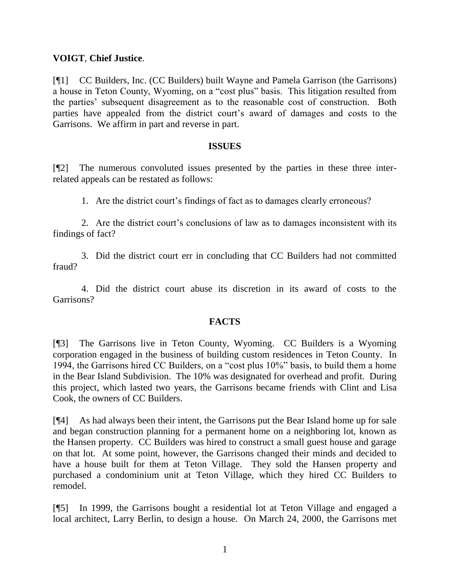## **VOIGT**, **Chief Justice**.

[¶1] CC Builders, Inc. (CC Builders) built Wayne and Pamela Garrison (the Garrisons) a house in Teton County, Wyoming, on a "cost plus" basis. This litigation resulted from the parties' subsequent disagreement as to the reasonable cost of construction. Both parties have appealed from the district court's award of damages and costs to the Garrisons. We affirm in part and reverse in part.

#### **ISSUES**

[¶2] The numerous convoluted issues presented by the parties in these three interrelated appeals can be restated as follows:

1. Are the district court's findings of fact as to damages clearly erroneous?

2. Are the district court's conclusions of law as to damages inconsistent with its findings of fact?

3. Did the district court err in concluding that CC Builders had not committed fraud?

4. Did the district court abuse its discretion in its award of costs to the Garrisons?

## **FACTS**

[¶3] The Garrisons live in Teton County, Wyoming. CC Builders is a Wyoming corporation engaged in the business of building custom residences in Teton County. In 1994, the Garrisons hired CC Builders, on a "cost plus  $10\%$ " basis, to build them a home in the Bear Island Subdivision. The 10% was designated for overhead and profit. During this project, which lasted two years, the Garrisons became friends with Clint and Lisa Cook, the owners of CC Builders.

[¶4] As had always been their intent, the Garrisons put the Bear Island home up for sale and began construction planning for a permanent home on a neighboring lot, known as the Hansen property. CC Builders was hired to construct a small guest house and garage on that lot. At some point, however, the Garrisons changed their minds and decided to have a house built for them at Teton Village. They sold the Hansen property and purchased a condominium unit at Teton Village, which they hired CC Builders to remodel.

[¶5] In 1999, the Garrisons bought a residential lot at Teton Village and engaged a local architect, Larry Berlin, to design a house. On March 24, 2000, the Garrisons met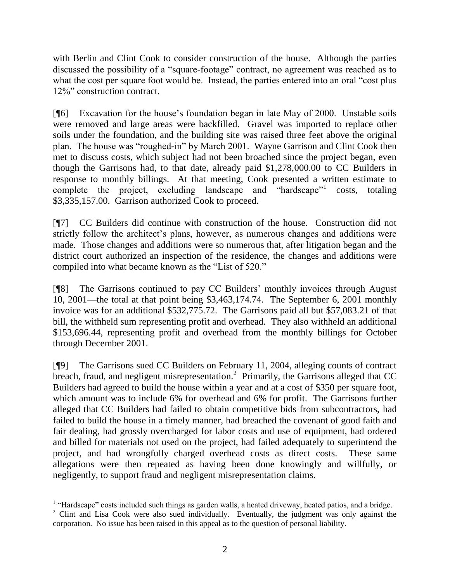with Berlin and Clint Cook to consider construction of the house. Although the parties discussed the possibility of a "square-footage" contract, no agreement was reached as to what the cost per square foot would be. Instead, the parties entered into an oral "cost plus 12%" construction contract.

[¶6] Excavation for the house's foundation began in late May of 2000. Unstable soils were removed and large areas were backfilled. Gravel was imported to replace other soils under the foundation, and the building site was raised three feet above the original plan. The house was "roughed-in" by March 2001. Wayne Garrison and Clint Cook then met to discuss costs, which subject had not been broached since the project began, even though the Garrisons had, to that date, already paid \$1,278,000.00 to CC Builders in response to monthly billings. At that meeting, Cook presented a written estimate to complete the project, excluding landscape and "hardscape" costs, totaling \$3,335,157.00. Garrison authorized Cook to proceed.

[¶7] CC Builders did continue with construction of the house. Construction did not strictly follow the architect's plans, however, as numerous changes and additions were made. Those changes and additions were so numerous that, after litigation began and the district court authorized an inspection of the residence, the changes and additions were compiled into what became known as the "List of 520."

[¶8] The Garrisons continued to pay CC Builders' monthly invoices through August 10, 2001—the total at that point being \$3,463,174.74. The September 6, 2001 monthly invoice was for an additional \$532,775.72. The Garrisons paid all but \$57,083.21 of that bill, the withheld sum representing profit and overhead. They also withheld an additional \$153,696.44, representing profit and overhead from the monthly billings for October through December 2001.

[¶9] The Garrisons sued CC Builders on February 11, 2004, alleging counts of contract breach, fraud, and negligent misrepresentation.<sup>2</sup> Primarily, the Garrisons alleged that CC Builders had agreed to build the house within a year and at a cost of \$350 per square foot, which amount was to include 6% for overhead and 6% for profit. The Garrisons further alleged that CC Builders had failed to obtain competitive bids from subcontractors, had failed to build the house in a timely manner, had breached the covenant of good faith and fair dealing, had grossly overcharged for labor costs and use of equipment, had ordered and billed for materials not used on the project, had failed adequately to superintend the project, and had wrongfully charged overhead costs as direct costs. These same allegations were then repeated as having been done knowingly and willfully, or negligently, to support fraud and negligent misrepresentation claims.

 $<sup>1</sup>$  "Hardscape" costs included such things as garden walls, a heated driveway, heated patios, and a bridge.</sup>

 $2$  Clint and Lisa Cook were also sued individually. Eventually, the judgment was only against the corporation. No issue has been raised in this appeal as to the question of personal liability.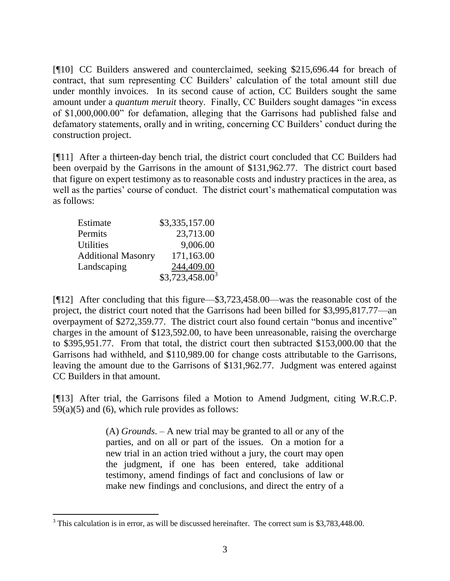[¶10] CC Builders answered and counterclaimed, seeking \$215,696.44 for breach of contract, that sum representing CC Builders' calculation of the total amount still due under monthly invoices. In its second cause of action, CC Builders sought the same amount under a *quantum meruit* theory. Finally, CC Builders sought damages "in excess" of \$1,000,000.00" for defamation, alleging that the Garrisons had published false and defamatory statements, orally and in writing, concerning CC Builders' conduct during the construction project.

[¶11] After a thirteen-day bench trial, the district court concluded that CC Builders had been overpaid by the Garrisons in the amount of \$131,962.77. The district court based that figure on expert testimony as to reasonable costs and industry practices in the area, as well as the parties' course of conduct. The district court's mathematical computation was as follows:

| Estimate                  | \$3,335,157.00    |
|---------------------------|-------------------|
| Permits                   | 23,713.00         |
| <b>Utilities</b>          | 9,006.00          |
| <b>Additional Masonry</b> | 171,163.00        |
| Landscaping               | 244,409.00        |
|                           | $$3,723,458.00^3$ |

 $\overline{a}$ 

[¶12] After concluding that this figure—\$3,723,458.00—was the reasonable cost of the project, the district court noted that the Garrisons had been billed for \$3,995,817.77—an overpayment of \$272,359.77. The district court also found certain "bonus and incentive" charges in the amount of \$123,592.00, to have been unreasonable, raising the overcharge to \$395,951.77. From that total, the district court then subtracted \$153,000.00 that the Garrisons had withheld, and \$110,989.00 for change costs attributable to the Garrisons, leaving the amount due to the Garrisons of \$131,962.77. Judgment was entered against CC Builders in that amount.

[¶13] After trial, the Garrisons filed a Motion to Amend Judgment, citing W.R.C.P.  $59(a)(5)$  and  $(6)$ , which rule provides as follows:

> (A) *Grounds*. – A new trial may be granted to all or any of the parties, and on all or part of the issues. On a motion for a new trial in an action tried without a jury, the court may open the judgment, if one has been entered, take additional testimony, amend findings of fact and conclusions of law or make new findings and conclusions, and direct the entry of a

<sup>&</sup>lt;sup>3</sup> This calculation is in error, as will be discussed hereinafter. The correct sum is \$3,783,448.00.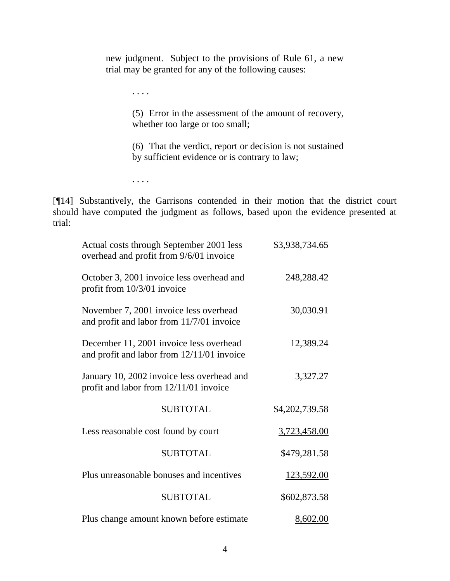new judgment. Subject to the provisions of Rule 61, a new trial may be granted for any of the following causes:

. . . .

(5) Error in the assessment of the amount of recovery, whether too large or too small;

(6) That the verdict, report or decision is not sustained by sufficient evidence or is contrary to law;

. . . .

[¶14] Substantively, the Garrisons contended in their motion that the district court should have computed the judgment as follows, based upon the evidence presented at trial:

| Actual costs through September 2001 less<br>overhead and profit from 9/6/01 invoice   | \$3,938,734.65 |
|---------------------------------------------------------------------------------------|----------------|
| October 3, 2001 invoice less overhead and<br>profit from 10/3/01 invoice              | 248,288.42     |
| November 7, 2001 invoice less overhead<br>and profit and labor from 11/7/01 invoice   | 30,030.91      |
| December 11, 2001 invoice less overhead<br>and profit and labor from 12/11/01 invoice | 12,389.24      |
| January 10, 2002 invoice less overhead and<br>profit and labor from 12/11/01 invoice  | 3,327.27       |
| <b>SUBTOTAL</b>                                                                       | \$4,202,739.58 |
| Less reasonable cost found by court                                                   | 3,723,458.00   |
| <b>SUBTOTAL</b>                                                                       | \$479,281.58   |
| Plus unreasonable bonuses and incentives                                              | 123,592.00     |
| <b>SUBTOTAL</b>                                                                       | \$602,873.58   |
| Plus change amount known before estimate                                              | 8,602.00       |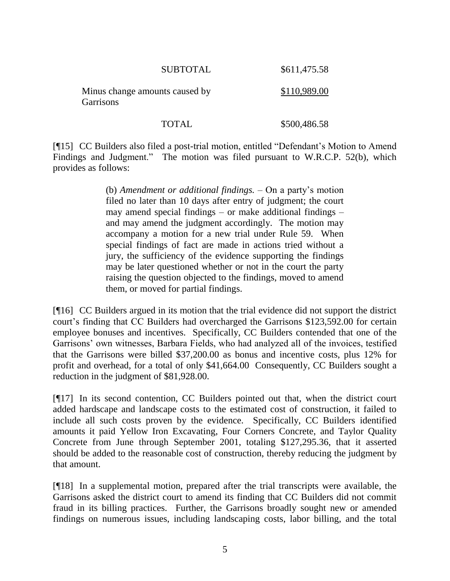| <b>SUBTOTAL</b>                             | \$611,475.58 |
|---------------------------------------------|--------------|
| Minus change amounts caused by<br>Garrisons | \$110,989.00 |

[¶15] CC Builders also filed a post-trial motion, entitled "Defendant's Motion to Amend Findings and Judgment." The motion was filed pursuant to W.R.C.P. 52(b), which provides as follows:

TOTAL \$500,486.58

(b) *Amendment or additional findings.* – On a party's motion filed no later than 10 days after entry of judgment; the court may amend special findings – or make additional findings – and may amend the judgment accordingly. The motion may accompany a motion for a new trial under Rule 59. When special findings of fact are made in actions tried without a jury, the sufficiency of the evidence supporting the findings may be later questioned whether or not in the court the party raising the question objected to the findings, moved to amend them, or moved for partial findings.

[¶16] CC Builders argued in its motion that the trial evidence did not support the district court's finding that CC Builders had overcharged the Garrisons \$123,592.00 for certain employee bonuses and incentives. Specifically, CC Builders contended that one of the Garrisons' own witnesses, Barbara Fields, who had analyzed all of the invoices, testified that the Garrisons were billed \$37,200.00 as bonus and incentive costs, plus 12% for profit and overhead, for a total of only \$41,664.00 Consequently, CC Builders sought a reduction in the judgment of \$81,928.00.

[¶17] In its second contention, CC Builders pointed out that, when the district court added hardscape and landscape costs to the estimated cost of construction, it failed to include all such costs proven by the evidence. Specifically, CC Builders identified amounts it paid Yellow Iron Excavating, Four Corners Concrete, and Taylor Quality Concrete from June through September 2001, totaling \$127,295.36, that it asserted should be added to the reasonable cost of construction, thereby reducing the judgment by that amount.

[¶18] In a supplemental motion, prepared after the trial transcripts were available, the Garrisons asked the district court to amend its finding that CC Builders did not commit fraud in its billing practices. Further, the Garrisons broadly sought new or amended findings on numerous issues, including landscaping costs, labor billing, and the total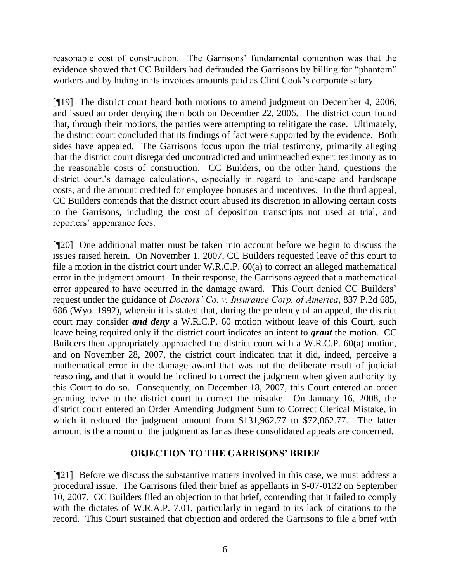reasonable cost of construction. The Garrisons' fundamental contention was that the evidence showed that CC Builders had defrauded the Garrisons by billing for "phantom" workers and by hiding in its invoices amounts paid as Clint Cook's corporate salary.

[¶19] The district court heard both motions to amend judgment on December 4, 2006, and issued an order denying them both on December 22, 2006. The district court found that, through their motions, the parties were attempting to relitigate the case. Ultimately, the district court concluded that its findings of fact were supported by the evidence. Both sides have appealed. The Garrisons focus upon the trial testimony, primarily alleging that the district court disregarded uncontradicted and unimpeached expert testimony as to the reasonable costs of construction. CC Builders, on the other hand, questions the district court's damage calculations, especially in regard to landscape and hardscape costs, and the amount credited for employee bonuses and incentives. In the third appeal, CC Builders contends that the district court abused its discretion in allowing certain costs to the Garrisons, including the cost of deposition transcripts not used at trial, and reporters' appearance fees.

[¶20] One additional matter must be taken into account before we begin to discuss the issues raised herein. On November 1, 2007, CC Builders requested leave of this court to file a motion in the district court under W.R.C.P. 60(a) to correct an alleged mathematical error in the judgment amount. In their response, the Garrisons agreed that a mathematical error appeared to have occurred in the damage award. This Court denied CC Builders' request under the guidance of *Doctors' Co. v. Insurance Corp. of America*, 837 P.2d 685, 686 (Wyo. 1992), wherein it is stated that, during the pendency of an appeal, the district court may consider *and deny* a W.R.C.P. 60 motion without leave of this Court, such leave being required only if the district court indicates an intent to *grant* the motion. CC Builders then appropriately approached the district court with a W.R.C.P. 60(a) motion, and on November 28, 2007, the district court indicated that it did, indeed, perceive a mathematical error in the damage award that was not the deliberate result of judicial reasoning, and that it would be inclined to correct the judgment when given authority by this Court to do so. Consequently, on December 18, 2007, this Court entered an order granting leave to the district court to correct the mistake. On January 16, 2008, the district court entered an Order Amending Judgment Sum to Correct Clerical Mistake, in which it reduced the judgment amount from \$131,962.77 to \$72,062.77. The latter amount is the amount of the judgment as far as these consolidated appeals are concerned.

## **OBJECTION TO THE GARRISONS' BRIEF**

[¶21] Before we discuss the substantive matters involved in this case, we must address a procedural issue. The Garrisons filed their brief as appellants in S-07-0132 on September 10, 2007. CC Builders filed an objection to that brief, contending that it failed to comply with the dictates of W.R.A.P. 7.01, particularly in regard to its lack of citations to the record. This Court sustained that objection and ordered the Garrisons to file a brief with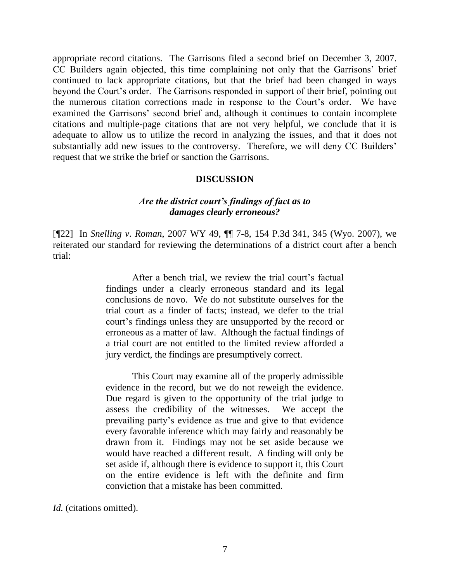appropriate record citations. The Garrisons filed a second brief on December 3, 2007. CC Builders again objected, this time complaining not only that the Garrisons' brief continued to lack appropriate citations, but that the brief had been changed in ways beyond the Court's order. The Garrisons responded in support of their brief, pointing out the numerous citation corrections made in response to the Court's order. We have examined the Garrisons' second brief and, although it continues to contain incomplete citations and multiple-page citations that are not very helpful, we conclude that it is adequate to allow us to utilize the record in analyzing the issues, and that it does not substantially add new issues to the controversy. Therefore, we will deny CC Builders' request that we strike the brief or sanction the Garrisons.

## **DISCUSSION**

## *Are the district court's findings of fact as to damages clearly erroneous?*

[¶22] In *Snelling v*. *Roman*, 2007 WY 49, ¶¶ 7-8, 154 P.3d 341, 345 (Wyo. 2007), we reiterated our standard for reviewing the determinations of a district court after a bench trial:

> After a bench trial, we review the trial court's factual findings under a clearly erroneous standard and its legal conclusions de novo. We do not substitute ourselves for the trial court as a finder of facts; instead, we defer to the trial court's findings unless they are unsupported by the record or erroneous as a matter of law. Although the factual findings of a trial court are not entitled to the limited review afforded a jury verdict, the findings are presumptively correct.

> This Court may examine all of the properly admissible evidence in the record, but we do not reweigh the evidence. Due regard is given to the opportunity of the trial judge to assess the credibility of the witnesses. We accept the prevailing party's evidence as true and give to that evidence every favorable inference which may fairly and reasonably be drawn from it. Findings may not be set aside because we would have reached a different result. A finding will only be set aside if, although there is evidence to support it, this Court on the entire evidence is left with the definite and firm conviction that a mistake has been committed.

*Id.* (citations omitted).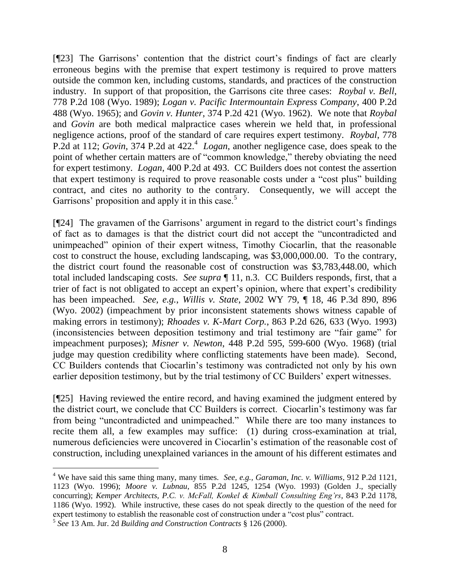[¶23] The Garrisons' contention that the district court's findings of fact are clearly erroneous begins with the premise that expert testimony is required to prove matters outside the common ken, including customs, standards, and practices of the construction industry. In support of that proposition, the Garrisons cite three cases: *Roybal v. Bell*, 778 P.2d 108 (Wyo. 1989); *Logan v. Pacific Intermountain Express Company*, 400 P.2d 488 (Wyo. 1965); and *Govin v. Hunter*, 374 P.2d 421 (Wyo. 1962). We note that *Roybal* and *Govin* are both medical malpractice cases wherein we held that, in professional negligence actions, proof of the standard of care requires expert testimony. *Roybal*, 778 P.2d at 112; *Govin*, 374 P.2d at 422.<sup>4</sup> Logan, another negligence case, does speak to the point of whether certain matters are of "common knowledge," thereby obviating the need for expert testimony. *Logan*, 400 P.2d at 493. CC Builders does not contest the assertion that expert testimony is required to prove reasonable costs under a "cost plus" building contract, and cites no authority to the contrary. Consequently, we will accept the Garrisons' proposition and apply it in this case. $5$ 

[¶24] The gravamen of the Garrisons' argument in regard to the district court's findings of fact as to damages is that the district court did not accept the "uncontradicted and unimpeached" opinion of their expert witness, Timothy Ciocarlin, that the reasonable cost to construct the house, excluding landscaping, was \$3,000,000.00. To the contrary, the district court found the reasonable cost of construction was \$3,783,448.00, which total included landscaping costs. *See supra* ¶ 11, n.3. CC Builders responds, first, that a trier of fact is not obligated to accept an expert's opinion, where that expert's credibility has been impeached. *See, e.g.*, *Willis v. State*, 2002 WY 79, ¶ 18, 46 P.3d 890, 896 (Wyo. 2002) (impeachment by prior inconsistent statements shows witness capable of making errors in testimony); *Rhoades v. K-Mart Corp.*, 863 P.2d 626, 633 (Wyo. 1993) (inconsistencies between deposition testimony and trial testimony are "fair game" for impeachment purposes); *Misner v. Newton*, 448 P.2d 595, 599-600 (Wyo. 1968) (trial judge may question credibility where conflicting statements have been made). Second, CC Builders contends that Ciocarlin's testimony was contradicted not only by his own earlier deposition testimony, but by the trial testimony of CC Builders' expert witnesses.

[¶25] Having reviewed the entire record, and having examined the judgment entered by the district court, we conclude that CC Builders is correct. Ciocarlin's testimony was far from being "uncontradicted and unimpeached." While there are too many instances to recite them all, a few examples may suffice: (1) during cross-examination at trial, numerous deficiencies were uncovered in Ciocarlin's estimation of the reasonable cost of construction, including unexplained variances in the amount of his different estimates and

<sup>4</sup> We have said this same thing many, many times. *See, e.g., Garaman, Inc. v. Williams*, 912 P.2d 1121, 1123 (Wyo. 1996); *Moore v. Lubnau*, 855 P.2d 1245, 1254 (Wyo. 1993) (Golden J., specially concurring); *Kemper Architects, P.C. v. McFall, Konkel & Kimball Consulting Eng'rs*, 843 P.2d 1178, 1186 (Wyo. 1992). While instructive, these cases do not speak directly to the question of the need for expert testimony to establish the reasonable cost of construction under a "cost plus" contract.

<sup>5</sup> *See* 13 Am. Jur. 2d *Building and Construction Contracts* § 126 (2000).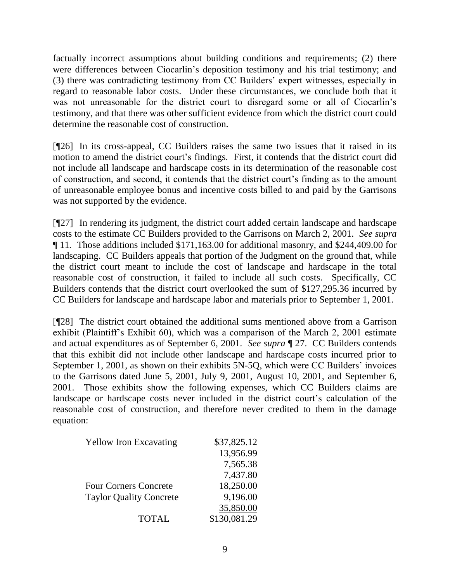factually incorrect assumptions about building conditions and requirements; (2) there were differences between Ciocarlin's deposition testimony and his trial testimony; and (3) there was contradicting testimony from CC Builders' expert witnesses, especially in regard to reasonable labor costs. Under these circumstances, we conclude both that it was not unreasonable for the district court to disregard some or all of Ciocarlin's testimony, and that there was other sufficient evidence from which the district court could determine the reasonable cost of construction.

[¶26] In its cross-appeal, CC Builders raises the same two issues that it raised in its motion to amend the district court's findings. First, it contends that the district court did not include all landscape and hardscape costs in its determination of the reasonable cost of construction, and second, it contends that the district court's finding as to the amount of unreasonable employee bonus and incentive costs billed to and paid by the Garrisons was not supported by the evidence.

[¶27] In rendering its judgment, the district court added certain landscape and hardscape costs to the estimate CC Builders provided to the Garrisons on March 2, 2001. *See supra* ¶ 11*.* Those additions included \$171,163.00 for additional masonry, and \$244,409.00 for landscaping. CC Builders appeals that portion of the Judgment on the ground that, while the district court meant to include the cost of landscape and hardscape in the total reasonable cost of construction, it failed to include all such costs. Specifically, CC Builders contends that the district court overlooked the sum of \$127,295.36 incurred by CC Builders for landscape and hardscape labor and materials prior to September 1, 2001.

[¶28] The district court obtained the additional sums mentioned above from a Garrison exhibit (Plaintiff's Exhibit 60), which was a comparison of the March 2, 2001 estimate and actual expenditures as of September 6, 2001. *See supra* ¶ 27. CC Builders contends that this exhibit did not include other landscape and hardscape costs incurred prior to September 1, 2001, as shown on their exhibits 5N-5Q, which were CC Builders' invoices to the Garrisons dated June 5, 2001, July 9, 2001, August 10, 2001, and September 6, 2001. Those exhibits show the following expenses, which CC Builders claims are landscape or hardscape costs never included in the district court's calculation of the reasonable cost of construction, and therefore never credited to them in the damage equation:

| <b>Yellow Iron Excavating</b>  | \$37,825.12  |
|--------------------------------|--------------|
|                                | 13,956.99    |
|                                | 7,565.38     |
|                                | 7,437.80     |
| <b>Four Corners Concrete</b>   | 18,250.00    |
| <b>Taylor Quality Concrete</b> | 9,196.00     |
|                                | 35,850.00    |
| <b>TOTAL</b>                   | \$130,081.29 |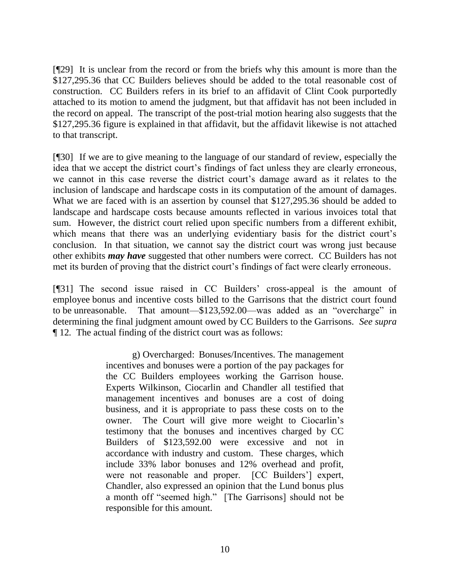[¶29] It is unclear from the record or from the briefs why this amount is more than the \$127,295.36 that CC Builders believes should be added to the total reasonable cost of construction. CC Builders refers in its brief to an affidavit of Clint Cook purportedly attached to its motion to amend the judgment, but that affidavit has not been included in the record on appeal. The transcript of the post-trial motion hearing also suggests that the \$127,295.36 figure is explained in that affidavit, but the affidavit likewise is not attached to that transcript.

[¶30] If we are to give meaning to the language of our standard of review, especially the idea that we accept the district court's findings of fact unless they are clearly erroneous, we cannot in this case reverse the district court's damage award as it relates to the inclusion of landscape and hardscape costs in its computation of the amount of damages. What we are faced with is an assertion by counsel that \$127,295.36 should be added to landscape and hardscape costs because amounts reflected in various invoices total that sum. However, the district court relied upon specific numbers from a different exhibit, which means that there was an underlying evidentiary basis for the district court's conclusion. In that situation, we cannot say the district court was wrong just because other exhibits *may have* suggested that other numbers were correct. CC Builders has not met its burden of proving that the district court's findings of fact were clearly erroneous.

[¶31] The second issue raised in CC Builders' cross-appeal is the amount of employee bonus and incentive costs billed to the Garrisons that the district court found to be unreasonable. That amount— $$123,592.00$ —was added as an "overcharge" in determining the final judgment amount owed by CC Builders to the Garrisons. *See supra* ¶ 12*.* The actual finding of the district court was as follows:

> g) Overcharged: Bonuses/Incentives. The management incentives and bonuses were a portion of the pay packages for the CC Builders employees working the Garrison house. Experts Wilkinson, Ciocarlin and Chandler all testified that management incentives and bonuses are a cost of doing business, and it is appropriate to pass these costs on to the owner. The Court will give more weight to Ciocarlin's testimony that the bonuses and incentives charged by CC Builders of \$123,592.00 were excessive and not in accordance with industry and custom. These charges, which include 33% labor bonuses and 12% overhead and profit, were not reasonable and proper. [CC Builders'] expert, Chandler, also expressed an opinion that the Lund bonus plus a month off "seemed high." [The Garrisons] should not be responsible for this amount.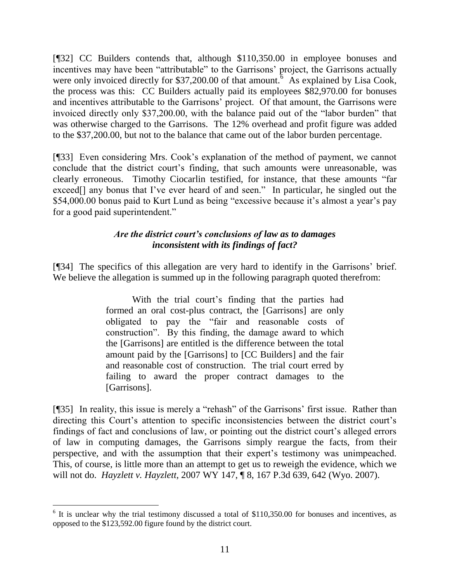[¶32] CC Builders contends that, although \$110,350.00 in employee bonuses and incentives may have been "attributable" to the Garrisons' project, the Garrisons actually were only invoiced directly for \$37,200.00 of that amount.  $6$  As explained by Lisa Cook, the process was this: CC Builders actually paid its employees \$82,970.00 for bonuses and incentives attributable to the Garrisons' project. Of that amount, the Garrisons were invoiced directly only \$37,200.00, with the balance paid out of the "labor burden" that was otherwise charged to the Garrisons. The 12% overhead and profit figure was added to the \$37,200.00, but not to the balance that came out of the labor burden percentage.

[¶33] Even considering Mrs. Cook's explanation of the method of payment, we cannot conclude that the district court's finding, that such amounts were unreasonable, was clearly erroneous. Timothy Ciocarlin testified, for instance, that these amounts "far exceed<sup>[]</sup> any bonus that I've ever heard of and seen." In particular, he singled out the \$54,000.00 bonus paid to Kurt Lund as being "excessive because it's almost a year's pay for a good paid superintendent."

## *Are the district court's conclusions of law as to damages inconsistent with its findings of fact?*

[¶34] The specifics of this allegation are very hard to identify in the Garrisons' brief. We believe the allegation is summed up in the following paragraph quoted therefrom:

> With the trial court's finding that the parties had formed an oral cost-plus contract, the [Garrisons] are only obligated to pay the "fair and reasonable costs of construction". By this finding, the damage award to which the [Garrisons] are entitled is the difference between the total amount paid by the [Garrisons] to [CC Builders] and the fair and reasonable cost of construction. The trial court erred by failing to award the proper contract damages to the [Garrisons].

[¶35] In reality, this issue is merely a "rehash" of the Garrisons' first issue. Rather than directing this Court's attention to specific inconsistencies between the district court's findings of fact and conclusions of law, or pointing out the district court's alleged errors of law in computing damages, the Garrisons simply reargue the facts, from their perspective, and with the assumption that their expert's testimony was unimpeached. This, of course, is little more than an attempt to get us to reweigh the evidence, which we will not do. *Hayzlett v. Hayzlett,* 2007 WY 147, ¶ 8, 167 P.3d 639, 642 (Wyo. 2007).

<sup>&</sup>lt;sup>6</sup> It is unclear why the trial testimony discussed a total of \$110,350.00 for bonuses and incentives, as opposed to the \$123,592.00 figure found by the district court.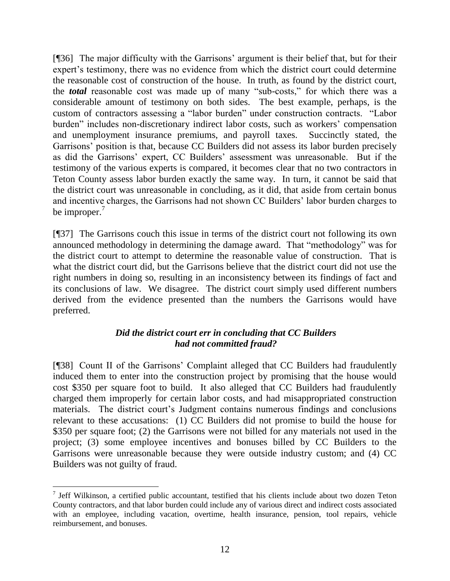[¶36] The major difficulty with the Garrisons' argument is their belief that, but for their expert's testimony, there was no evidence from which the district court could determine the reasonable cost of construction of the house. In truth, as found by the district court, the *total* reasonable cost was made up of many "sub-costs," for which there was a considerable amount of testimony on both sides. The best example, perhaps, is the custom of contractors assessing a "labor burden" under construction contracts. "Labor burden" includes non-discretionary indirect labor costs, such as workers' compensation and unemployment insurance premiums, and payroll taxes. Succinctly stated, the Garrisons' position is that, because CC Builders did not assess its labor burden precisely as did the Garrisons' expert, CC Builders' assessment was unreasonable. But if the testimony of the various experts is compared, it becomes clear that no two contractors in Teton County assess labor burden exactly the same way. In turn, it cannot be said that the district court was unreasonable in concluding, as it did, that aside from certain bonus and incentive charges, the Garrisons had not shown CC Builders' labor burden charges to be improper. $<sup>7</sup>$ </sup>

[¶37] The Garrisons couch this issue in terms of the district court not following its own announced methodology in determining the damage award. That "methodology" was for the district court to attempt to determine the reasonable value of construction. That is what the district court did, but the Garrisons believe that the district court did not use the right numbers in doing so, resulting in an inconsistency between its findings of fact and its conclusions of law. We disagree. The district court simply used different numbers derived from the evidence presented than the numbers the Garrisons would have preferred.

## *Did the district court err in concluding that CC Builders had not committed fraud?*

[¶38] Count II of the Garrisons' Complaint alleged that CC Builders had fraudulently induced them to enter into the construction project by promising that the house would cost \$350 per square foot to build. It also alleged that CC Builders had fraudulently charged them improperly for certain labor costs, and had misappropriated construction materials. The district court's Judgment contains numerous findings and conclusions relevant to these accusations: (1) CC Builders did not promise to build the house for \$350 per square foot; (2) the Garrisons were not billed for any materials not used in the project; (3) some employee incentives and bonuses billed by CC Builders to the Garrisons were unreasonable because they were outside industry custom; and (4) CC Builders was not guilty of fraud.

 $\overline{a}$ 

 $<sup>7</sup>$  Jeff Wilkinson, a certified public accountant, testified that his clients include about two dozen Teton</sup> County contractors, and that labor burden could include any of various direct and indirect costs associated with an employee, including vacation, overtime, health insurance, pension, tool repairs, vehicle reimbursement, and bonuses.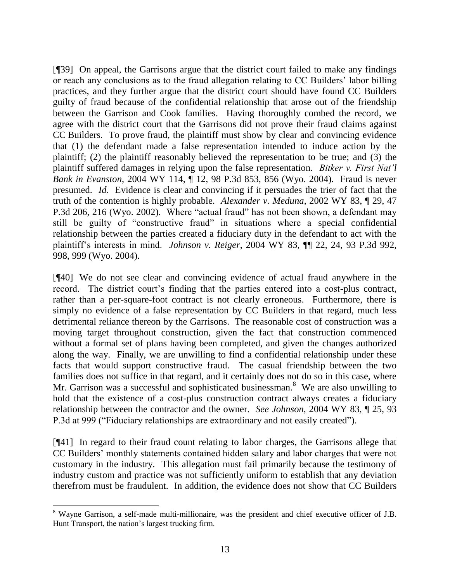[¶39] On appeal, the Garrisons argue that the district court failed to make any findings or reach any conclusions as to the fraud allegation relating to CC Builders' labor billing practices, and they further argue that the district court should have found CC Builders guilty of fraud because of the confidential relationship that arose out of the friendship between the Garrison and Cook families. Having thoroughly combed the record, we agree with the district court that the Garrisons did not prove their fraud claims against CC Builders. To prove fraud, the plaintiff must show by clear and convincing evidence that (1) the defendant made a false representation intended to induce action by the plaintiff; (2) the plaintiff reasonably believed the representation to be true; and (3) the plaintiff suffered damages in relying upon the false representation. *Bitker v. First Nat'l Bank in Evanston*, 2004 WY 114, ¶ 12, 98 P.3d 853, 856 (Wyo. 2004). Fraud is never presumed. *Id*. Evidence is clear and convincing if it persuades the trier of fact that the truth of the contention is highly probable. *Alexander v. Meduna*, 2002 WY 83, ¶ 29, 47 P.3d 206, 216 (Wyo. 2002). Where "actual fraud" has not been shown, a defendant may still be guilty of "constructive fraud" in situations where a special confidential relationship between the parties created a fiduciary duty in the defendant to act with the plaintiff's interests in mind. *Johnson v. Reiger*, 2004 WY 83, ¶¶ 22, 24, 93 P.3d 992, 998, 999 (Wyo. 2004).

[¶40] We do not see clear and convincing evidence of actual fraud anywhere in the record. The district court's finding that the parties entered into a cost-plus contract, rather than a per-square-foot contract is not clearly erroneous. Furthermore, there is simply no evidence of a false representation by CC Builders in that regard, much less detrimental reliance thereon by the Garrisons. The reasonable cost of construction was a moving target throughout construction, given the fact that construction commenced without a formal set of plans having been completed, and given the changes authorized along the way. Finally, we are unwilling to find a confidential relationship under these facts that would support constructive fraud. The casual friendship between the two families does not suffice in that regard, and it certainly does not do so in this case, where Mr. Garrison was a successful and sophisticated businessman.<sup>8</sup> We are also unwilling to hold that the existence of a cost-plus construction contract always creates a fiduciary relationship between the contractor and the owner. *See Johnson*, 2004 WY 83, ¶ 25, 93 P.3d at 999 ("Fiduciary relationships are extraordinary and not easily created").

[¶41] In regard to their fraud count relating to labor charges, the Garrisons allege that CC Builders' monthly statements contained hidden salary and labor charges that were not customary in the industry. This allegation must fail primarily because the testimony of industry custom and practice was not sufficiently uniform to establish that any deviation therefrom must be fraudulent. In addition, the evidence does not show that CC Builders

<sup>8</sup> Wayne Garrison, a self-made multi-millionaire, was the president and chief executive officer of J.B. Hunt Transport, the nation's largest trucking firm.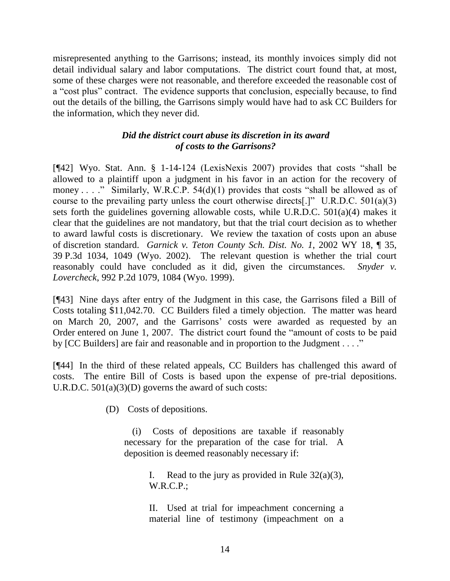misrepresented anything to the Garrisons; instead, its monthly invoices simply did not detail individual salary and labor computations. The district court found that, at most, some of these charges were not reasonable, and therefore exceeded the reasonable cost of a "cost plus" contract. The evidence supports that conclusion, especially because, to find out the details of the billing, the Garrisons simply would have had to ask CC Builders for the information, which they never did.

## *Did the district court abuse its discretion in its award of costs to the Garrisons?*

[ $[42]$  Wyo. Stat. Ann. § 1-14-124 (LexisNexis 2007) provides that costs "shall be allowed to a plaintiff upon a judgment in his favor in an action for the recovery of money . . . ." Similarly, W.R.C.P.  $54(d)(1)$  provides that costs "shall be allowed as of course to the prevailing party unless the court otherwise directs[.]" U.R.D.C.  $501(a)(3)$ sets forth the guidelines governing allowable costs, while U.R.D.C. 501(a)(4) makes it clear that the guidelines are not mandatory, but that the trial court decision as to whether to award lawful costs is discretionary. We review the taxation of costs upon an abuse of discretion standard. *Garnick v. Teton County Sch. Dist. No. 1*, 2002 WY 18, ¶ 35, 39 P.3d 1034, 1049 (Wyo. 2002). The relevant question is whether the trial court reasonably could have concluded as it did, given the circumstances. *Snyder v. Lovercheck*, 992 P.2d 1079, 1084 (Wyo. 1999).

[¶43] Nine days after entry of the Judgment in this case, the Garrisons filed a Bill of Costs totaling \$11,042.70. CC Builders filed a timely objection. The matter was heard on March 20, 2007, and the Garrisons' costs were awarded as requested by an Order entered on June 1, 2007. The district court found the "amount of costs to be paid by [CC Builders] are fair and reasonable and in proportion to the Judgment . . . ."

[¶44] In the third of these related appeals, CC Builders has challenged this award of costs. The entire Bill of Costs is based upon the expense of pre-trial depositions. U.R.D.C.  $501(a)(3)(D)$  governs the award of such costs:

(D) Costs of depositions.

(i) Costs of depositions are taxable if reasonably necessary for the preparation of the case for trial. A deposition is deemed reasonably necessary if:

> I. Read to the jury as provided in Rule  $32(a)(3)$ , W.R.C.P.;

> II. Used at trial for impeachment concerning a material line of testimony (impeachment on a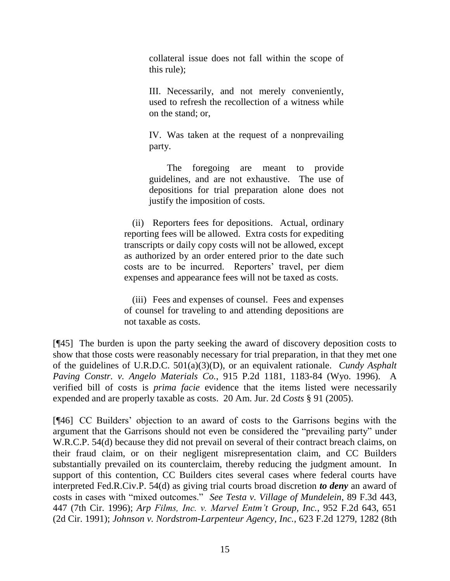collateral issue does not fall within the scope of this rule);

III. Necessarily, and not merely conveniently, used to refresh the recollection of a witness while on the stand; or,

IV. Was taken at the request of a nonprevailing party.

The foregoing are meant to provide guidelines, and are not exhaustive. The use of depositions for trial preparation alone does not justify the imposition of costs.

(ii) Reporters fees for depositions. Actual, ordinary reporting fees will be allowed. Extra costs for expediting transcripts or daily copy costs will not be allowed, except as authorized by an order entered prior to the date such costs are to be incurred. Reporters' travel, per diem expenses and appearance fees will not be taxed as costs.

(iii) Fees and expenses of counsel. Fees and expenses of counsel for traveling to and attending depositions are not taxable as costs.

[¶45] The burden is upon the party seeking the award of discovery deposition costs to show that those costs were reasonably necessary for trial preparation, in that they met one of the guidelines of U.R.D.C. 501(a)(3)(D), or an equivalent rationale. *Cundy Asphalt Paving Constr. v. Angelo Materials Co.*, 915 P.2d 1181, 1183-84 (Wyo. 1996). A verified bill of costs is *prima facie* evidence that the items listed were necessarily expended and are properly taxable as costs. 20 Am. Jur. 2d *Costs* § 91 (2005).

[¶46] CC Builders' objection to an award of costs to the Garrisons begins with the argument that the Garrisons should not even be considered the "prevailing party" under W.R.C.P. 54(d) because they did not prevail on several of their contract breach claims, on their fraud claim, or on their negligent misrepresentation claim, and CC Builders substantially prevailed on its counterclaim, thereby reducing the judgment amount. In support of this contention, CC Builders cites several cases where federal courts have interpreted Fed.R.Civ.P. 54(d) as giving trial courts broad discretion *to deny* an award of costs in cases with "mixed outcomes." *See Testa v. Village of Mundelein*, 89 F.3d 443, 447 (7th Cir. 1996); *Arp Films, Inc. v. Marvel Entm't Group, Inc.*, 952 F.2d 643, 651 (2d Cir. 1991); *Johnson v. Nordstrom-Larpenteur Agency, Inc.*, 623 F.2d 1279, 1282 (8th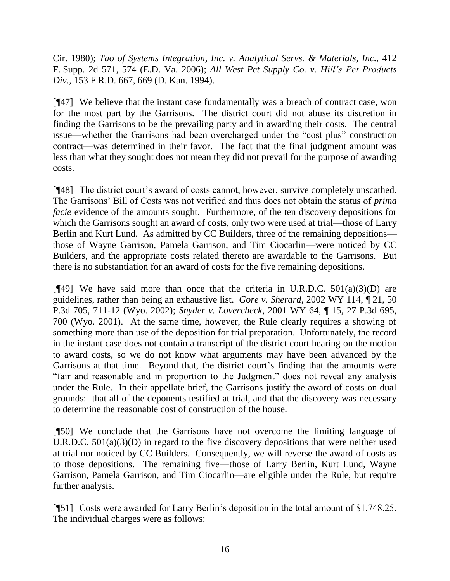Cir. 1980); *Tao of Systems Integration, Inc. v. Analytical Servs. & Materials, Inc.*, 412 F. Supp. 2d 571, 574 (E.D. Va. 2006); *All West Pet Supply Co. v. Hill's Pet Products Div.*, 153 F.R.D. 667, 669 (D. Kan. 1994).

[¶47] We believe that the instant case fundamentally was a breach of contract case, won for the most part by the Garrisons. The district court did not abuse its discretion in finding the Garrisons to be the prevailing party and in awarding their costs. The central issue—whether the Garrisons had been overcharged under the "cost plus" construction contract—was determined in their favor. The fact that the final judgment amount was less than what they sought does not mean they did not prevail for the purpose of awarding costs.

[¶48] The district court's award of costs cannot, however, survive completely unscathed. The Garrisons' Bill of Costs was not verified and thus does not obtain the status of *prima facie* evidence of the amounts sought. Furthermore, of the ten discovery depositions for which the Garrisons sought an award of costs, only two were used at trial—those of Larry Berlin and Kurt Lund. As admitted by CC Builders, three of the remaining depositions those of Wayne Garrison, Pamela Garrison, and Tim Ciocarlin—were noticed by CC Builders, and the appropriate costs related thereto are awardable to the Garrisons. But there is no substantiation for an award of costs for the five remaining depositions.

[ $[49]$ ] We have said more than once that the criteria in U.R.D.C.  $501(a)(3)(D)$  are guidelines, rather than being an exhaustive list. *Gore v. Sherard*, 2002 WY 114, ¶ 21, 50 P.3d 705, 711-12 (Wyo. 2002); *Snyder v. Lovercheck*, 2001 WY 64, ¶ 15, 27 P.3d 695, 700 (Wyo. 2001). At the same time, however, the Rule clearly requires a showing of something more than use of the deposition for trial preparation. Unfortunately, the record in the instant case does not contain a transcript of the district court hearing on the motion to award costs, so we do not know what arguments may have been advanced by the Garrisons at that time. Beyond that, the district court's finding that the amounts were "fair and reasonable and in proportion to the Judgment" does not reveal any analysis under the Rule. In their appellate brief, the Garrisons justify the award of costs on dual grounds: that all of the deponents testified at trial, and that the discovery was necessary to determine the reasonable cost of construction of the house.

[¶50] We conclude that the Garrisons have not overcome the limiting language of U.R.D.C. 501(a)(3)(D) in regard to the five discovery depositions that were neither used at trial nor noticed by CC Builders. Consequently, we will reverse the award of costs as to those depositions. The remaining five—those of Larry Berlin, Kurt Lund, Wayne Garrison, Pamela Garrison, and Tim Ciocarlin—are eligible under the Rule, but require further analysis.

[¶51] Costs were awarded for Larry Berlin's deposition in the total amount of \$1,748.25. The individual charges were as follows: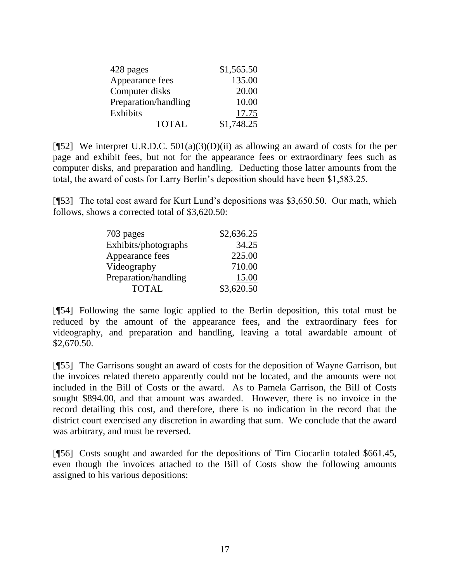| 428 pages            | \$1,565.50 |
|----------------------|------------|
| Appearance fees      | 135.00     |
| Computer disks       | 20.00      |
| Preparation/handling | 10.00      |
| <b>Exhibits</b>      | 17.75      |
| <b>TOTAL</b>         | \$1,748.25 |

[ $[$ 52] We interpret U.R.D.C. 501(a)(3)(D)(ii) as allowing an award of costs for the per page and exhibit fees, but not for the appearance fees or extraordinary fees such as computer disks, and preparation and handling. Deducting those latter amounts from the total, the award of costs for Larry Berlin's deposition should have been \$1,583.25.

[¶53] The total cost award for Kurt Lund's depositions was \$3,650.50. Our math, which follows, shows a corrected total of \$3,620.50:

| 703 pages            | \$2,636.25 |
|----------------------|------------|
| Exhibits/photographs | 34.25      |
| Appearance fees      | 225.00     |
| Videography          | 710.00     |
| Preparation/handling | 15.00      |
| <b>TOTAL</b>         | \$3,620.50 |

[¶54] Following the same logic applied to the Berlin deposition, this total must be reduced by the amount of the appearance fees, and the extraordinary fees for videography, and preparation and handling, leaving a total awardable amount of \$2,670.50.

[¶55] The Garrisons sought an award of costs for the deposition of Wayne Garrison, but the invoices related thereto apparently could not be located, and the amounts were not included in the Bill of Costs or the award. As to Pamela Garrison, the Bill of Costs sought \$894.00, and that amount was awarded. However, there is no invoice in the record detailing this cost, and therefore, there is no indication in the record that the district court exercised any discretion in awarding that sum. We conclude that the award was arbitrary, and must be reversed.

[¶56] Costs sought and awarded for the depositions of Tim Ciocarlin totaled \$661.45, even though the invoices attached to the Bill of Costs show the following amounts assigned to his various depositions: